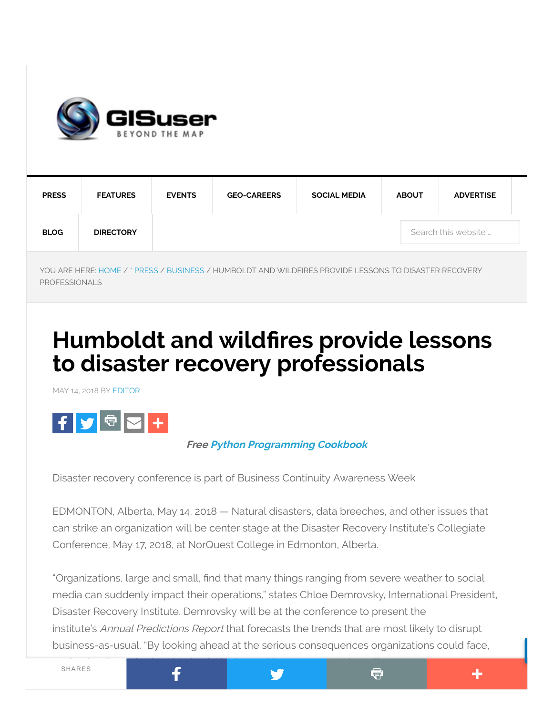

| <b>PRESS</b> | <b>FEATURES</b>  | <b>EVENTS</b>       | <b>GEO-CAREERS</b> | <b>SOCIAL MEDIA</b> | <b>ABOUT</b> | <b>ADVERTISE</b> |  |
|--------------|------------------|---------------------|--------------------|---------------------|--------------|------------------|--|
| <b>BLOG</b>  | <b>DIRECTORY</b> | Search this website |                    |                     |              |                  |  |

YOU ARE HERE: [HOME](http://gisuser.com/) / \* [PRESS](http://gisuser.com/category/press-2/) / [BUSINESS](http://gisuser.com/category/press-2/business-press-2/) / HUMBOLDT AND WILDFIRES PROVIDE LESSONS TO DISASTER RECOVERY PROFESSIONALS

# Humboldt and wildfires provide lessons to disaster recovery professionals

MAY 14, 2018 BY [EDITOR](http://gisuser.com/gisuser/gisuser-editor/)



#### Free Python [Programming](http://symbiandevzone.tradepub.com/free/w_webd07/prgm.cgi/) Cookbook

Disaster recovery conference is part of Business Continuity Awareness Week

F

EDMONTON, Alberta, May 14, 2018 — Natural disasters, data breeches, and other issues that can strike an organization will be center stage at the Disaster Recovery Institute's Collegiate Conference, May 17, 2018, at NorQuest College in Edmonton, Alberta.

"Organizations, large and small, find that many things ranging from severe weather to social media can suddenly impact their operations," states Chloe Demrovsky, International President, Disaster Recovery Institute. Demrovsky will be at the conference to present the institute's Annual Predictions Report that forecasts the trends that are most likely to disrupt [business-as-usual.](javascript:void(0);) "By looking ahead at the serious consequences organizations could face,

申

43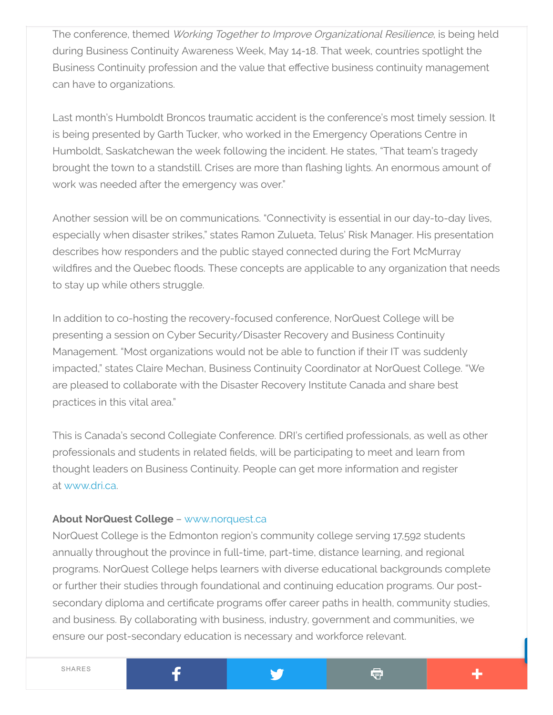The conference, themed Working Together to Improve Organizational Resilience, is being held during Business Continuity Awareness Week, May 14-18. That week, countries spotlight the Business Continuity profession and the value that effective business continuity management can have to organizations.

Last month's Humboldt Broncos traumatic accident is the conference's most timely session. It is being presented by Garth Tucker, who worked in the Emergency Operations Centre in Humboldt, Saskatchewan the week following the incident. He states, "That team's tragedy brought the town to a standstill. Crises are more than flashing lights. An enormous amount of work was needed after the emergency was over."

Another session will be on communications. "Connectivity is essential in our day-to-day lives, especially when disaster strikes," states Ramon Zulueta, Telus' Risk Manager. His presentation describes how responders and the public stayed connected during the Fort McMurray wildfires and the Quebec floods. These concepts are applicable to any organization that needs to stay up while others struggle.

In addition to co-hosting the recovery-focused conference, NorQuest College will be presenting a session on Cyber Security/Disaster Recovery and Business Continuity Management. "Most organizations would not be able to function if their IT was suddenly impacted," states Claire Mechan, Business Continuity Coordinator at NorQuest College. "We are pleased to collaborate with the Disaster Recovery Institute Canada and share best practices in this vital area."

This is Canada's second Collegiate Conference. DRI's certified professionals, as well as other professionals and students in related fields, will be participating to meet and learn from thought leaders on Business Continuity. People can get more information and register at [www.dri.ca.](http://www.dri.ca/)

#### About NorQuest College – [www.norquest.ca](http://www.norquest.ca/)

f

NorQuest College is the Edmonton region's community college serving 17,592 students annually throughout the province in full-time, part-time, distance learning, and regional programs. NorQuest College helps learners with diverse educational backgrounds complete or further their studies through foundational and continuing education programs. Our postsecondary diploma and certificate programs offer career paths in health, community studies, and business. By collaborating with business, industry, government and communities, we ensure our [post-secondary](javascript:void(0);) education is necessary and workforce relevant.

¢

÷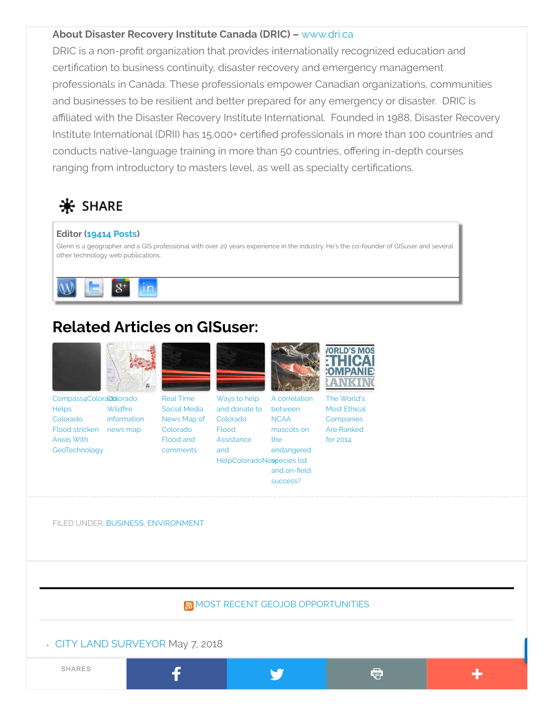#### About Disaster Recovery Institute Canada (DRIC) – [www.dri.ca](http://www.dri.ca/)

DRIC is a non-profit organization that provides internationally recognized education and certification to business continuity, disaster recovery and emergency management professionals in Canada. These professionals empower Canadian organizations, communities and businesses to be resilient and better prepared for any emergency or disaster. DRIC is affiliated with the Disaster Recovery Institute International. Founded in 1988, Disaster Recovery Institute International (DRII) has 15,000+ certified professionals in more than 100 countries and conducts native-language training in more than 50 countries, offering in-depth courses ranging from introductory to masters level, as well as specialty certifications.

## $*$  SHARE

#### Editor [\(19414](http://gisuser.com/gisuser/gisuser-editor/) Posts)

Glenn is a geographer and a GIS professional with over 20 years experience in the industry. He's the co-founder of GISuser and several other technology web publications.



# Related Articles on GISuser:



[Compass4Colorado](http://gisuser.com/2013/09/compass4colorado-helps-colorado-flood-stricken-areas-with-geotechnology/) compassa **Helps** Colorado Flood stricken news map Areas With **GeoTechnology** Wildfire [information](http://gisuser.com/2013/06/colorado-wildfire-information-news-map/)





Social Media News Map of Colorado Flood and [comments](http://gisuser.com/2013/09/real-time-social-media-news-map-of-colorado-flood/) Ways to help and donate to Colorado Flood Assistance and HelpColoradoNospecies list



A correlation between **NCAA** mascots on [endangered](http://gisuser.com/2013/12/a-correlation-between-ncaa-mascots-on-the-endangered-species-list-and-on-field-success/)



The World's Most Ethical **[Companies](http://gisuser.com/2014/03/the-worlds-most-ethical-companies-are-ranked-for-2014/)** Are Ranked for 2014

Ġ

43

FILED UNDER: [BUSINESS](http://gisuser.com/category/press-2/business-press-2/), [ENVIRONMENT](http://gisuser.com/category/press-2/environment-press-2/)

MOST RECENT GEOJOB [OPPORTUNITIES](http://geojobs.biz/)

the

and on-field success?

#### › CITY LAND [SURVEYOR](http://geojobs.biz/job/city-of-oakland-oakland-ca-14-city-land-surveyor/) May 7, 2018

 $\sim$  [Surveyor](http://geojobs.biz/job/klj-14-surveyor-ii-survey-2/) II – Survey  $\blacksquare$ SHARES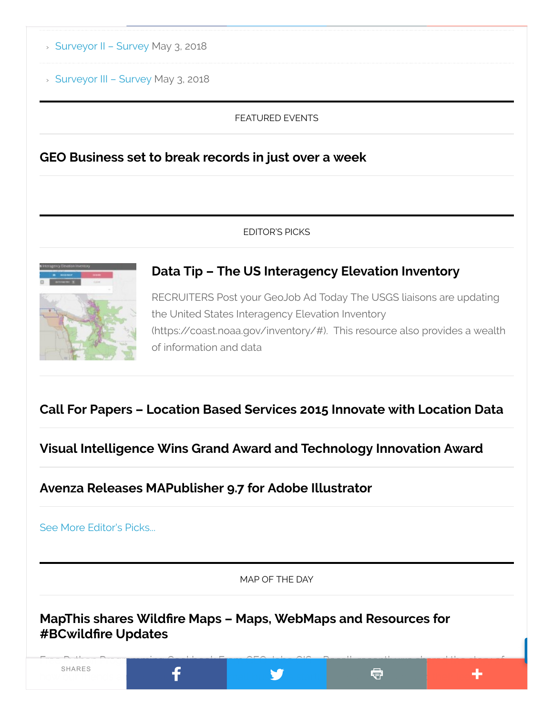- › [Surveyor](http://geojobs.biz/job/klj-14-surveyor-ii-survey/) II Survey May 3, 2018
- › [Surveyor](http://geojobs.biz/job/klj-14-surveyor-iii-survey/) III Survey May 3, 2018

#### FEATURED EVENTS

GEO [Business](http://gisuser.com/2018/05/geo-business-set-to-break-records-in-just-over-a-week/) set to break records in just over a week

#### EDITOR'S PICKS



RECRUITERS Post your GeoJob Ad Today The USGS liaisons are updating the United States Interagency Elevation Inventory (https://coast.noaa.gov/inventory/#). This resource also provides a wealth of information and data

[D](http://gisuser.com/2015/09/data-tip-the-us-interagency-elevation-inventory/)ata Tip – The US [Interagency Elevation](http://gisuser.com/2015/09/data-tip-the-us-interagency-elevation-inventory/) Inventory

### Call For Papers – Location Based Services 2015 [Innovate](http://gisuser.com/2015/01/call-for-papers-location-based-services-2015-innovate-with-location-data/) with Location Data

Visual Intelligence Wins Grand Award and [Technology Innovation](http://gisuser.com/2014/10/visual-intelligence-wins-grand-award-and-technology-innovation-award/) Award

Avenza Releases [MAPublisher](http://gisuser.com/2016/05/avenza-releases-mapublisher-9-7-for-adobe-illustrator/) 9.7 for Adobe Illustrator

See More [Editor's](http://gisuser.com/category/front-page/frontpage-leader/) Picks...

MAP OF THE DAY

MapThis shares Wildfire Maps – Maps, WebMaps and Resources for #BCwildfire Updates

Free Python [Programming](javascript:void(0);) Cookbook From GEO Jobe GIS – Recall, recently we shared the story of how our friends and collect at Esri small business startup, Echosec, supported the international startup, Echo SHARES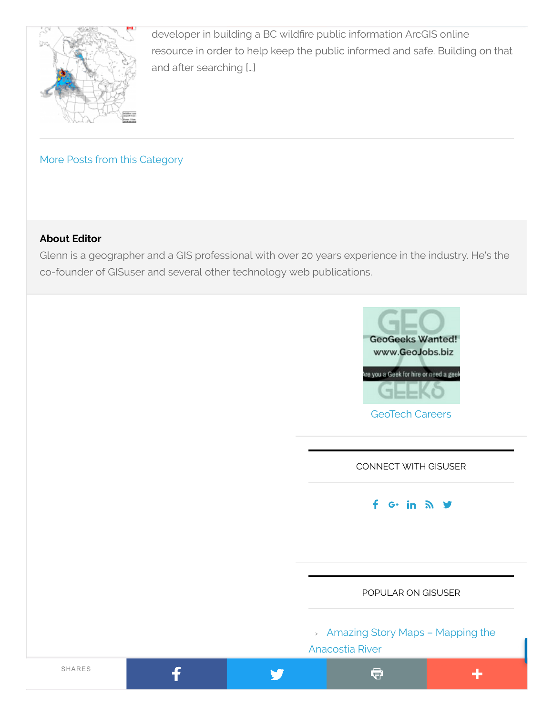

[d](http://gisuser.com/2017/08/mapthis-shares-wildfire-maps-maps-webmaps-and-resources-for-bcwildfire-updates/)eveloper in building a BC wildfire public information ArcGIS online resource in order to help keep the public informed and safe. Building on that and after searching […]

More Posts from this [Category](http://gisuser.com/category/blog-3/map-of-the-day/)

#### About Editor

Glenn is a geographer and a GIS professional with over 20 years experience in the industry. He's the co-founder of GISuser and several other technology web publications.

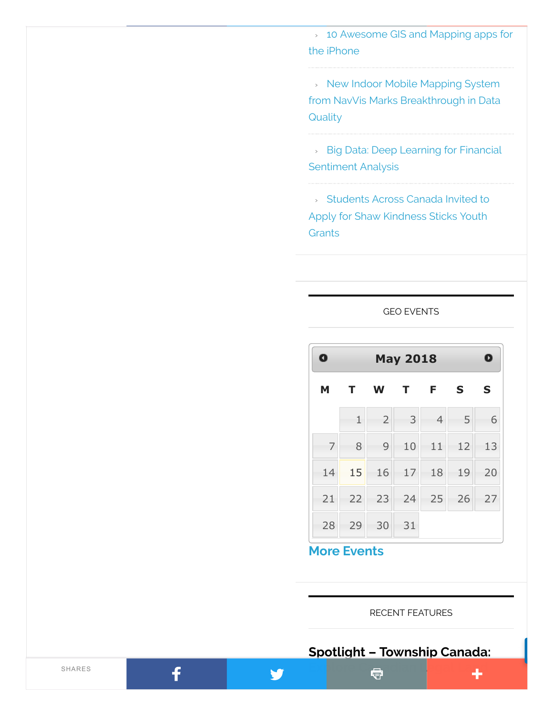› 10 [Awesome](http://gisuser.com/2010/01/10-awesome-gis-and-mapping-apps-for-the-iphone/) GIS and Mapping apps for the iPhone

› New Indoor Mobile Mapping System from NavVis Marks [Breakthrough](http://gisuser.com/2018/04/new-indoor-mobile-mapping-system-from-navvis-marks-breakthrough-in-data-quality/) in Data **Quality** 

› Big Data: Deep Learning for Financial [Sentiment](http://gisuser.com/2018/04/big-data-deep-learning-for-financial-sentiment-analysis/) Analysis

› Students Across Canada Invited to Apply for Shaw [Kindness](http://gisuser.com/2018/02/students-across-canada-invited-to-apply-for-shaw-kindness-sticks-youth-grants/) Sticks Youth **Grants** 

#### GEO [EVENTS](http://gisuser.com/2018/05/humboldt-and-wildfires-provide-lessons-to-disaster-recovery-professionals/)

| $\bullet$ | O<br><b>May 2018</b> |                |                |                |             |    |  |
|-----------|----------------------|----------------|----------------|----------------|-------------|----|--|
| M         | $\mathbf{T}$         | W              | T <sub>F</sub> |                | $\mathbf S$ | S  |  |
|           | $\mathbf{1}$         | $\overline{2}$ | 3              | $\overline{4}$ | 5           | 6  |  |
| 7         | 8                    | 9              | 10             | 11             | 12          | 13 |  |
| 14        | 15                   | 16             | 17             | 18             | 19          | 20 |  |
| 21        | 22                   | $-23$          | 24             | 25             | 26          | 27 |  |
| 28        | 29                   | 30             | 31             |                |             |    |  |

More [Events](http://gisuser.com/2018/05/humboldt-and-wildfires-provide-lessons-to-disaster-recovery-professionals/)

V

RECENT FEATURES

### Spotlight – [Township](http://gisuser.com/2018/05/spotlight-feature-township-canada/) Canada: Explore Canadian Legal Land

f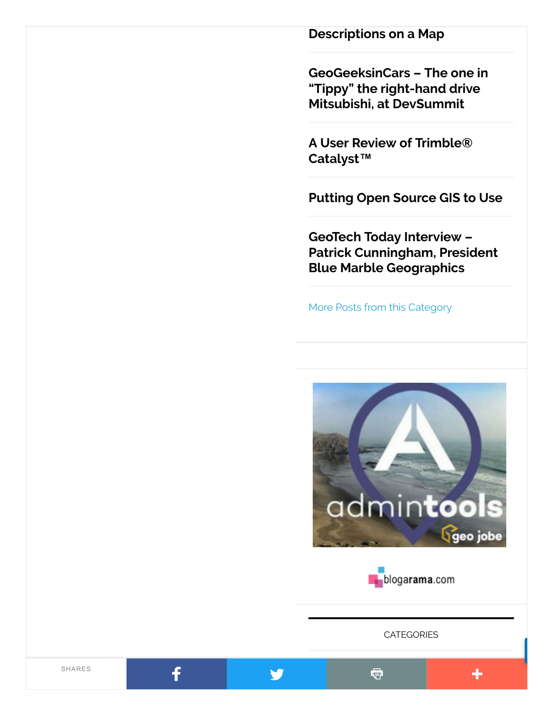[Descriptions](http://gisuser.com/2018/05/spotlight-feature-township-canada/) on a Map

[GeoGeeksinCars](http://gisuser.com/2018/03/geogeeksincars-the-one-in-tippy-the-right-hand-drive-mitsubishi-at-devsummit/) – The one in "Tippy" the right-hand drive Mitsubishi, at DevSummit

A User [Review of](http://gisuser.com/2018/03/user-review-of-trimble-catalyst/) Trimble® Catalyst™

[Putting](http://gisuser.com/2018/02/putting-open-source-gis-to-use/) Open Source GIS to Use

GeoTech [Today Interview –](http://gisuser.com/2018/01/geotech-today-interview-patrick-cunningham-president-blue-marble-geographics/) Patrick Cunningham, President Blue Marble Geographics

More Posts from this [Category](http://gisuser.com/category/front-page/top-features/)





**[CATEGORIES](javascript:void(0);)** 

٠

Q.

f

Y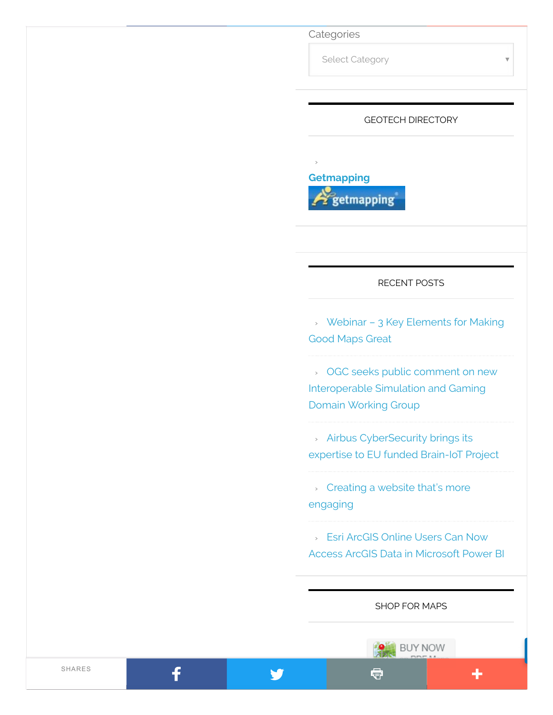**Categories** 

›

Select Category

#### GEOTECH DIRECTORY



#### RECENT POSTS

› Webinar – 3 Key [Elements](http://gisuser.com/2018/05/webinar-3-key-elements-for-making-good-maps-great/) for Making Good Maps Great

› OGC seeks public comment on new [Interoperable](http://gisuser.com/2018/05/ogc-seeks-public-comment-on-new-interoperable-simulation-and-gaming-domain-working-group/) Simulation and Gaming Domain Working Group

› Airbus [CyberSecurity](http://gisuser.com/2018/05/airbus-cybersecurity-brings-its-expertise-to-eu-funded-brain-iot-project/) brings its expertise to EU funded Brain-IoT Project

› Creating a website that's more [engaging](http://gisuser.com/2018/05/creating-a-website-thats-more-engaging/)

› Esri ArcGIS Online Users Can Now Access ArcGIS Data in [Microsoft](http://gisuser.com/2018/05/esri-arcgis-online-users-can-now-access-arcgis-data-in-microsoft-power-bi/) Power BI

SHOP FOR MAPS

Q

**BUY NOW** 

٠

f

V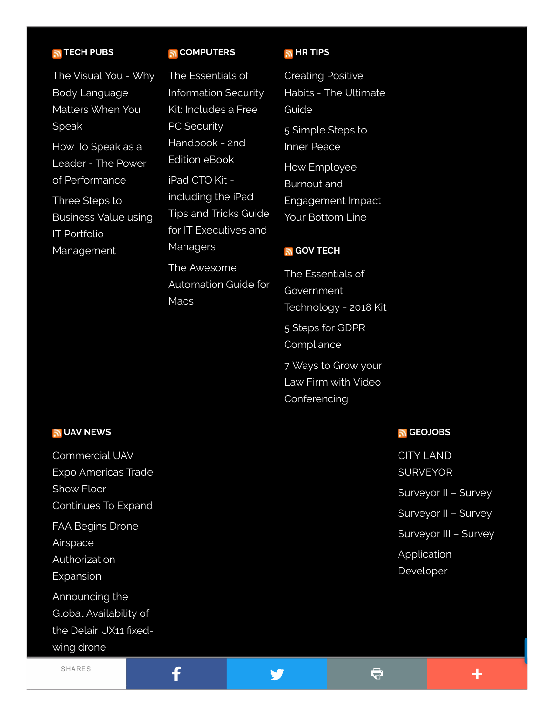#### TECH [PUBS](http://symbiandevzone.tradepub.com/?pt=cat&page=ALL)

The Visual You - Why Body [Language](http://symbiandevzone.tradepub.com/c/pubRD.mpl?sr=rss&_t=rss&qf=w_thab11) Matters When You Speak

How To Speak as a Leader - The Power of [Performance](http://symbiandevzone.tradepub.com/c/pubRD.mpl?sr=rss&_t=rss&qf=w_thab12)

Three Steps to Business Value using IT Portfolio [Management](http://symbiandevzone.tradepub.com/c/pubRD.mpl?sr=rss&_t=rss&qf=w_megb06)

#### **GOMPUTERS**

The Essentials of [Information](http://symbiandevzone.tradepub.com/c/pubRD.mpl?sr=rss&_t=rss&qf=w_bund20) Security Kit: Includes a Free PC Security Handbook - 2nd Edition eBook iPad CTO Kit including the iPad Tips and Tricks Guide for IT [Executives](http://symbiandevzone.tradepub.com/c/pubRD.mpl?sr=rss&_t=rss&qf=w_bund26) and Managers The Awesome

[Automation](http://symbiandevzone.tradepub.com/c/pubRD.mpl?sr=rss&_t=rss&qf=w_make19) Guide for **Macs** 

#### **HR [TIPS](http://symbiandevzone.tradepub.com/?pt=cat&page=Hr)**

Creating Positive Habits - The [Ultimate](http://symbiandevzone.tradepub.com/c/pubRD.mpl?sr=rss&_t=rss&qf=w_kale03) Guide 5 [Simple](http://symbiandevzone.tradepub.com/c/pubRD.mpl?sr=rss&_t=rss&qf=w_newd02) Steps to Inner Peace How Employee Burnout and [Engagement](http://symbiandevzone.tradepub.com/c/pubRD.mpl?sr=rss&_t=rss&qf=w_plur144) Impact Your Bottom Line

#### GOV [TECH](http://symbiandevzone.tradepub.com/?pt=cat&page=Govt)

The Essentials of **[Government](http://symbiandevzone.tradepub.com/c/pubRD.mpl?sr=rss&_t=rss&qf=w_bund15)** Technology - 2018 Kit 5 Steps for GDPR **[Compliance](http://symbiandevzone.tradepub.com/c/pubRD.mpl?sr=rss&_t=rss&qf=w_plur143)** 7 Ways to Grow your Law Firm with Video [Conferencing](http://symbiandevzone.tradepub.com/c/pubRD.mpl?sr=rss&_t=rss&qf=w_atco07)

#### UAV [NEWS](http://gisuser.com/)

[Commercial](http://gisuser.com/2018/05/commercial-uav-expo-americas-trade-show-floor-continues-to-expand/) UAV Expo Americas Trade Show Floor Continues To Expand FAA Begins Drone Airspace **[Authorization](http://gisuser.com/2018/05/faa-begins-drone-airspace-authorization-expansion/)** Expansion [Announcing](http://gisuser.com/2018/04/announcing-the-global-availability-of-the-delair-ux11-fixed-wing-drone/) the Global Availability of the Delair UX11 fixedwing [drone](javascript:void(0);)

f

SHARES

#### [GEOJOBS](http://geojobs.biz/) ה

CITY LAND [SURVEYOR](http://feedproxy.google.com/~r/GeoJobsBIZ/~3/e2cqgFn3qWk/) [Surveyor](http://feedproxy.google.com/~r/GeoJobsBIZ/~3/8cx9HLH8VWo/) II – Survey [Surveyor](http://feedproxy.google.com/~r/GeoJobsBIZ/~3/ZRs2HNmNbxg/) II – Survey [Surveyor](http://feedproxy.google.com/~r/GeoJobsBIZ/~3/wrS5QnnYRrQ/) III – Survey [Application](http://feedproxy.google.com/~r/GeoJobsBIZ/~3/iTMMf-8seC4/) Developer

V

申

÷